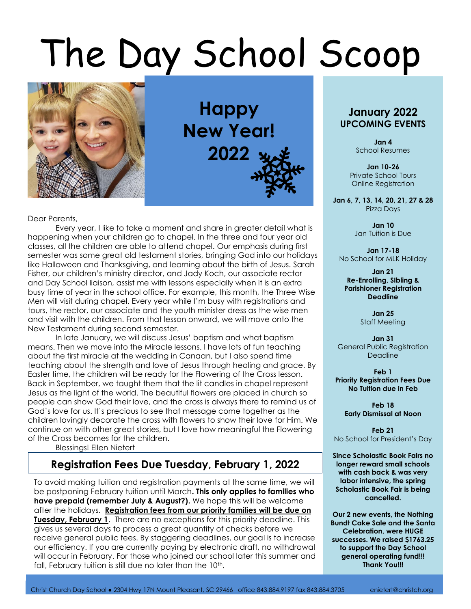# The Day School Scoop



**Happy New Year! 2022**

Dear Parents,

Every year, I like to take a moment and share in greater detail what is happening when your children go to chapel. In the three and four year old classes, all the children are able to attend chapel. Our emphasis during first semester was some great old testament stories, bringing God into our holidays like Halloween and Thanksgiving, and learning about the birth of Jesus. Sarah Fisher, our children's ministry director, and Jady Koch, our associate rector and Day School liaison, assist me with lessons especially when it is an extra busy time of year in the school office. For example, this month, the Three Wise Men will visit during chapel. Every year while I'm busy with registrations and tours, the rector, our associate and the youth minister dress as the wise men and visit with the children. From that lesson onward, we will move onto the New Testament during second semester.

In late January, we will discuss Jesus' baptism and what baptism means. Then we move into the Miracle lessons. I have lots of fun teaching about the first miracle at the wedding in Canaan, but I also spend time teaching about the strength and love of Jesus through healing and grace. By Easter time, the children will be ready for the Flowering of the Cross lesson. Back in September, we taught them that the lit candles in chapel represent Jesus as the light of the world. The beautiful flowers are placed in church so people can show God their love, and the cross is always there to remind us of God's love for us. It's precious to see that message come together as the children lovingly decorate the cross with flowers to show their love for Him. We continue on with other great stories, but I love how meaningful the Flowering of the Cross becomes for the children.

Blessings! Ellen Nietert

L

## **Registration Fees Due Tuesday, February 1, 2022**

To avoid making tuition and registration payments at the same time, we will be postponing February tuition until March**. This only applies to families who have prepaid (remember July & August?).** We hope this will be welcome after the holidays. **Registration fees from our priority families will be due on Tuesday, February 1.** There are no exceptions for this priority deadline. This gives us several days to process a great quantity of checks before we receive general public fees. By staggering deadlines, our goal is to increase our efficiency. If you are currently paying by electronic draft, no withdrawal will occur in February. For those who joined our school later this summer and fall, February tuition is still due no later than the 10<sup>th</sup>.

### **January 2022 UPCOMING EVENTS**

**Jan 4** School Resumes

**Jan 10-26** Private School Tours Online Registration

**Jan 6, 7, 13, 14, 20, 21, 27 & 28** Pizza Days

> **Jan 10** Jan Tuition is Due

**Jan 17-18** No School for MLK Holiday

**Jan 21 Re-Enrolling, SIbling & Parishioner Registration Deadline**

> **Jan 25** Staff Meeting

**Jan 31** General Public Registration Deadline

**Feb 1 Priority Registration Fees Due No Tuition due in Feb**

> **Feb 18 Early Dismissal at Noon**

**Feb 21** No School for President's Day

**Since Scholastic Book Fairs no longer reward small schools with cash back & was very labor intensive, the spring Scholastic Book Fair is being cancelled.**

**Our 2 new events, the Nothing Bundt Cake Sale and the Santa Celebration, were HUGE successes. We raised \$1763.25 to support the Day School general operating fund!!! Thank You!!!**